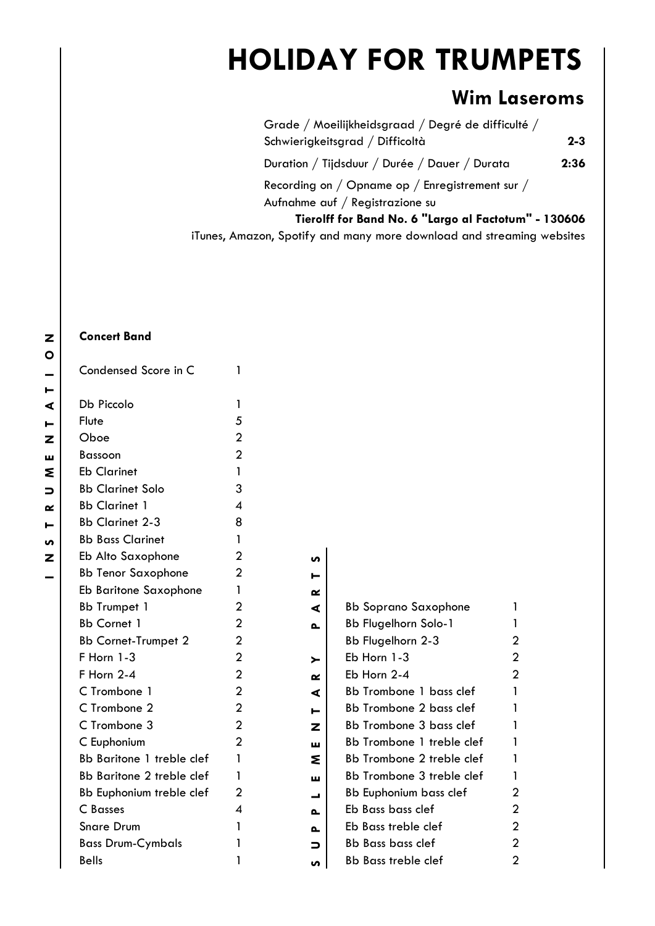## **HOLIDAY FOR TRUMPETS**

## **Wim Laseroms**

Grade / Moeilijkheidsgraad / Degré de difficulté / Schwierigkeitsgrad / Difficoltà **2-3** Duration / Tijdsduur / Durée / Dauer / Durata **2:36** Recording on / Opname op / Enregistrement sur / Aufnahme auf / Registrazione su **Tierolff for Band No. 6 "Largo al Factotum" - 130606**

iTunes, Amazon, Spotify and many more download and streaming websites

## **Concert Band**

| Condensed Score in C       | 1              |           |                               |                |
|----------------------------|----------------|-----------|-------------------------------|----------------|
| Db Piccolo                 | 1              |           |                               |                |
| Flute                      | 5              |           |                               |                |
| Oboe                       | $\overline{2}$ |           |                               |                |
| <b>Bassoon</b>             | $\overline{2}$ |           |                               |                |
| <b>Eb Clarinet</b>         | 1              |           |                               |                |
| <b>Bb Clarinet Solo</b>    | 3              |           |                               |                |
| <b>Bb Clarinet 1</b>       | 4              |           |                               |                |
| <b>Bb Clarinet 2-3</b>     | 8              |           |                               |                |
| <b>Bb Bass Clarinet</b>    | 1              |           |                               |                |
| Eb Alto Saxophone          | $\mathbf{2}$   | n         |                               |                |
| <b>Bb Tenor Saxophone</b>  | $\overline{2}$ | ⊢         |                               |                |
| Eb Baritone Saxophone      | 1              | ≃         |                               |                |
| <b>Bb Trumpet 1</b>        | $\overline{2}$ | ⋖         | <b>Bb Soprano Saxophone</b>   | 1              |
| <b>Bb Cornet 1</b>         | $\overline{2}$ | ௳         | <b>Bb Flugelhorn Solo-1</b>   | 1              |
| <b>Bb Cornet-Trumpet 2</b> | $\overline{2}$ |           | Bb Flugelhorn 2-3             | $\overline{c}$ |
| F Horn 1-3                 | $\overline{2}$ | ≻         | Eb Horn 1-3                   | $\overline{c}$ |
| F Horn 2-4                 | $\overline{2}$ | $\propto$ | Eb Horn 2-4                   | $\overline{2}$ |
| C Trombone 1               | $\overline{2}$ | ⋖         | Bb Trombone 1 bass clef       | 1              |
| C Trombone 2               | $\overline{2}$ | ►         | Bb Trombone 2 bass clef       | 1              |
| C Trombone 3               | $\overline{2}$ | z         | Bb Trombone 3 bass clef       | 1              |
| C Euphonium                | $\overline{2}$ | ш         | Bb Trombone 1 treble clef     | 1              |
| Bb Baritone 1 treble clef  | 1              | ٤         | Bb Trombone 2 treble clef     | $\mathbf{1}$   |
| Bb Baritone 2 treble clef  | 1              | ш         | Bb Trombone 3 treble clef     | 1              |
| Bb Euphonium treble clef   | $\overline{2}$ | پ         | <b>Bb Euphonium bass clef</b> | $\overline{a}$ |
| C Basses                   | $\overline{4}$ | ௨         | Eb Bass bass clef             | $\overline{c}$ |
| <b>Snare Drum</b>          | 1              | ௳         | Eb Bass treble clef           | $\overline{c}$ |
| <b>Bass Drum-Cymbals</b>   | 1              | ∍         | <b>Bb Bass bass clef</b>      | $\overline{2}$ |
| <b>Bells</b>               | 1              | S         | <b>Bb Bass treble clef</b>    | 2              |

| Bb Soprano Saxophone           |   |
|--------------------------------|---|
| Bb Flugelhorn Solo-1           | 1 |
| Bb Flugelhorn 2-3              | 2 |
| Eb Horn 1-3                    | 2 |
| Eb Horn 2-4                    | 2 |
| <b>Bb Trombone 1 bass clef</b> | 1 |
| <b>Bb Trombone 2 bass clef</b> | 1 |
| Bb Trombone 3 bass clef        | 1 |
| Bb Trombone 1 treble clef      | 1 |
| Bb Trombone 2 treble clef      | 1 |
| Bb Trombone 3 treble clef      | 1 |
| Bb Euphonium bass clef         | 2 |
| Eb Bass bass clef              | 2 |
| Eb Bass treble clef            | 2 |
| Bb Bass bass clef              |   |
| Bb Bass treble clef            |   |
|                                |   |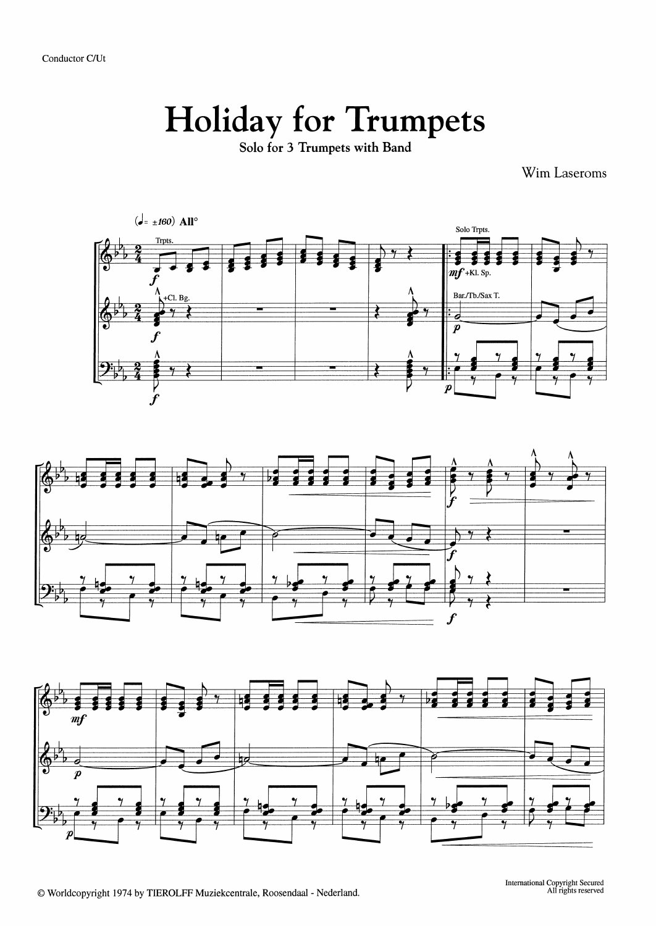Conductor C/Ut

## **Holiday for Trumpets**

Solo for 3 Trumpets with Band

Wim Laseroms